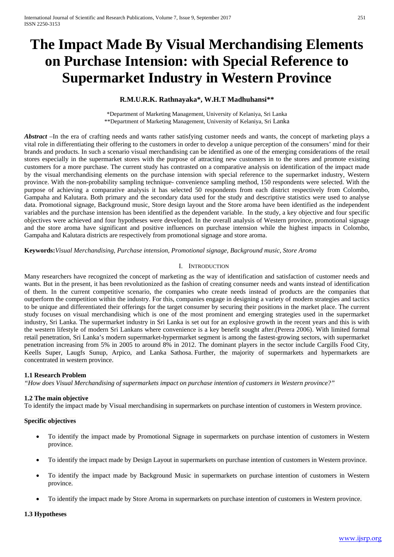# **The Impact Made By Visual Merchandising Elements on Purchase Intension: with Special Reference to Supermarket Industry in Western Province**

# **R.M.U.R.K. Rathnayaka\*, W.H.T Madhuhansi\*\***

\*Department of Marketing Management, University of Kelaniya, Sri Lanka \*\*Department of Marketing Management, University of Kelaniya, Sri Lanka

*Abstract* –In the era of crafting needs and wants rather satisfying customer needs and wants, the concept of marketing plays a vital role in differentiating their offering to the customers in order to develop a unique perception of the consumers' mind for their brands and products. In such a scenario visual merchandising can be identified as one of the emerging considerations of the retail stores especially in the supermarket stores with the purpose of attracting new customers in to the stores and promote existing customers for a more purchase. The current study has contrasted on a comparative analysis on identification of the impact made by the visual merchandising elements on the purchase intension with special reference to the supermarket industry, Western province. With the non-probability sampling technique- convenience sampling method, 150 respondents were selected. With the purpose of achieving a comparative analysis it has selected 50 respondents from each district respectively from Colombo, Gampaha and Kalutara. Both primary and the secondary data used for the study and descriptive statistics were used to analyse data. Promotional signage, Background music, Store design layout and the Store aroma have been identified as the independent variables and the purchase intension has been identified as the dependent variable. In the study, a key objective and four specific objectives were achieved and four hypotheses were developed. In the overall analysis of Western province, promotional signage and the store aroma have significant and positive influences on purchase intension while the highest impacts in Colombo, Gampaha and Kalutara districts are respectively from promotional signage and store aroma.

**Keywords:***Visual Merchandising, Purchase intension, Promotional signage, Background music, Store Aroma*

# I. INTRODUCTION

Many researchers have recognized the concept of marketing as the way of identification and satisfaction of customer needs and wants. But in the present, it has been revolutionized as the fashion of creating consumer needs and wants instead of identification of them. In the current competitive scenario, the companies who create needs instead of products are the companies that outperform the competition within the industry. For this, companies engage in designing a variety of modern strategies and tactics to be unique and differentiated their offerings for the target consumer by securing their positions in the market place. The current study focuses on visual merchandising which is one of the most prominent and emerging strategies used in the supermarket industry, Sri Lanka. The supermarket industry in Sri Lanka is set out for an explosive growth in the recent years and this is with the western lifestyle of modern Sri Lankans where convenience is a key benefit sought after.(Perera 2006). With limited formal retail penetration, Sri Lanka's modern supermarket-hypermarket segment is among the fastest-growing sectors, with supermarket penetration increasing from 5% in 2005 to around 8% in 2012. The dominant players in the sector include Cargills Food City, Keells Super, Laugfs Sunup, Arpico, and Lanka Sathosa. Further, the majority of supermarkets and hypermarkets are concentrated in western province.

# **1.1 Research Problem**

*"How does Visual Merchandising of supermarkets impact on purchase intention of customers in Western province?"*

# **1.2 The main objective**

To identify the impact made by Visual merchandising in supermarkets on purchase intention of customers in Western province.

# **Specific objectives**

- To identify the impact made by Promotional Signage in supermarkets on purchase intention of customers in Western province.
- To identify the impact made by Design Layout in supermarkets on purchase intention of customers in Western province.
- To identify the impact made by Background Music in supermarkets on purchase intention of customers in Western province.
- To identify the impact made by Store Aroma in supermarkets on purchase intention of customers in Western province.

#### **1.3 Hypotheses**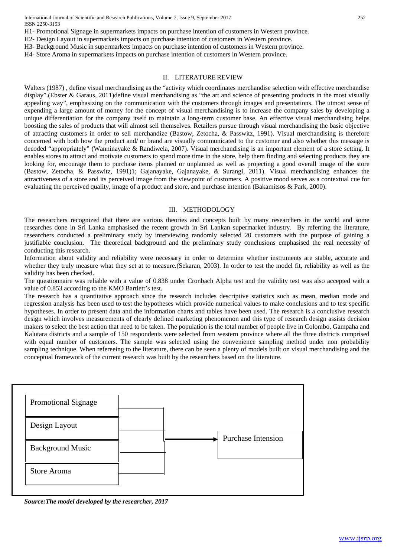H1- Promotional Signage in supermarkets impacts on purchase intention of customers in Western province.

- H2- Design Layout in supermarkets impacts on purchase intention of customers in Western province.
- H3- Background Music in supermarkets impacts on purchase intention of customers in Western province.
- H4- Store Aroma in supermarkets impacts on purchase intention of customers in Western province.

#### II. LITERATURE REVIEW

Walters (1987) , define visual merchandising as the "activity which coordinates merchandise selection with effective merchandise display".(Ebster & Garaus, 2011)define visual merchandising as "the art and science of presenting products in the most visually appealing way", emphasizing on the communication with the customers through images and presentations. The utmost sense of expending a large amount of money for the concept of visual merchandising is to increase the company sales by developing a unique differentiation for the company itself to maintain a long-term customer base. An effective visual merchandising helps boosting the sales of products that will almost sell themselves. Retailers pursue through visual merchandising the basic objective of attracting customers in order to sell merchandize (Bastow, Zetocha, & Passwitz, 1991). Visual merchandising is therefore concerned with both how the product and/ or brand are visually communicated to the customer and also whether this message is decoded "appropriately" (Wanninayake & Randiwela, 2007). Visual merchandising is an important element of a store setting. It enables stores to attract and motivate customers to spend more time in the store, help them finding and selecting products they are looking for, encourage them to purchase items planned or unplanned as well as projecting a good overall image of the store (Bastow, Zetocha, & Passwitz, 1991)1; Gajanayake, Gajanayake, & Surangi, 2011). Visual merchandising enhances the attractiveness of a store and its perceived image from the viewpoint of customers. A positive mood serves as a contextual cue for evaluating the perceived quality, image of a product and store, and purchase intention (Bakamitsos & Park, 2000).

#### III. METHODOLOGY

The researchers recognized that there are various theories and concepts built by many researchers in the world and some researches done in Sri Lanka emphasised the recent growth in Sri Lankan supermarket industry. By referring the literature, researchers conducted a preliminary study by interviewing randomly selected 20 customers with the purpose of gaining a justifiable conclusion. The theoretical background and the preliminary study conclusions emphasised the real necessity of conducting this research.

Information about validity and reliability were necessary in order to determine whether instruments are stable, accurate and whether they truly measure what they set at to measure.(Sekaran, 2003). In order to test the model fit, reliability as well as the validity has been checked.

The questionnaire was reliable with a value of 0.838 under Cronbach Alpha test and the validity test was also accepted with a value of 0.853 according to the KMO Bartlett's test.

The research has a quantitative approach since the research includes descriptive statistics such as mean, median mode and regression analysis has been used to test the hypotheses which provide numerical values to make conclusions and to test specific hypotheses. In order to present data and the information charts and tables have been used. The research is a conclusive research design which involves measurements of clearly defined marketing phenomenon and this type of research design assists decision makers to select the best action that need to be taken. The population is the total number of people live in Colombo, Gampaha and Kalutara districts and a sample of 150 respondents were selected from western province where all the three districts comprised with equal number of customers. The sample was selected using the convenience sampling method under non probability sampling technique. When refereeing to the literature, there can be seen a plenty of models built on visual merchandising and the conceptual framework of the current research was built by the researchers based on the literature.



*Source:The model developed by the researcher, 2017*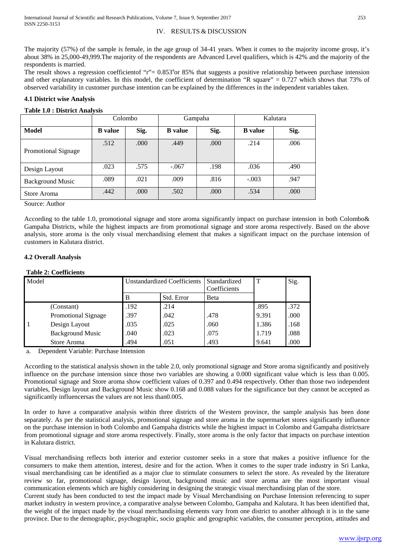# IV. RESULTS & DISCUSSION

The majority (57%) of the sample is female, in the age group of 34-41 years. When it comes to the majority income group, it's about 38% in 25,000-49,999.The majority of the respondents are Advanced Level qualifiers, which is 42% and the majority of the respondents is married.

The result shows a regression coefficientof "r"=  $0.853^{\circ}$ or 85% that suggests a positive relationship between purchase intension and other explanatory variables. In this model, the coefficient of determination "R square" =  $0.727$  which shows that 73% of observed variability in customer purchase intention can be explained by the differences in the independent variables taken.

# **4.1 District wise Analysis**

# **Table 1.0 : District Analysis**

|                            | Colombo        |      | Gampaha        |      | Kalutara       |      |
|----------------------------|----------------|------|----------------|------|----------------|------|
| Model                      | <b>B</b> value | Sig. | <b>B</b> value | Sig. | <b>B</b> value | Sig. |
| <b>Promotional Signage</b> | .512           | .000 | .449           | .000 | .214           | .006 |
| Design Layout              | .023           | .575 | $-.067$        | .198 | .036           | .490 |
| <b>Background Music</b>    | .089           | .021 | .009           | .816 | $-.003$        | .947 |
| Store Aroma                | .442           | .000 | .502           | .000 | .534           | .000 |

Source: Author

According to the table 1.0, promotional signage and store aroma significantly impact on purchase intension in both Colombo& Gampaha Districts, while the highest impacts are from promotional signage and store aroma respectively. Based on the above analysis, store aroma is the only visual merchandising element that makes a significant impact on the purchase intension of customers in Kalutara district.

# **4.2 Overall Analysis**

# **Table 2: Coefficients**

| Model |                         | <b>Unstandardized Coefficients</b> |            | Standardized<br>Coefficients | т     | Sig. |
|-------|-------------------------|------------------------------------|------------|------------------------------|-------|------|
|       |                         | B                                  | Std. Error | <b>B</b> eta                 |       |      |
|       | (Constant)              | .192                               | .214       |                              | .895  | .372 |
|       | Promotional Signage     | .397                               | .042       | .478                         | 9.391 | .000 |
|       | Design Layout           | .035                               | .025       | .060                         | 1.386 | .168 |
|       | <b>Background Music</b> | .040                               | .023       | .075                         | 1.719 | .088 |
|       | Store Aroma             | .494                               | .051       | .493                         | 9.641 | .000 |

a. Dependent Variable: Purchase Intension

According to the statistical analysis shown in the table 2.0, only promotional signage and Store aroma significantly and positively influence on the purchase intension since those two variables are showing a 0.000 significant value which is less than 0.005. Promotional signage and Store aroma show coefficient values of 0.397 and 0.494 respectively. Other than those two independent variables, Design layout and Background Music show 0.168 and 0.088 values for the significance but they cannot be accepted as significantly influencersas the values are not less than0.005.

In order to have a comparative analysis within three districts of the Western province, the sample analysis has been done separately. As per the statistical analysis, promotional signage and store aroma in the supermarket stores significantly influence on the purchase intension in both Colombo and Gampaha districts while the highest impact in Colombo and Gampaha districtsare from promotional signage and store aroma respectively. Finally, store aroma is the only factor that impacts on purchase intention in Kalutara district.

Visual merchandising reflects both interior and exterior customer seeks in a store that makes a positive influence for the consumers to make them attention, interest, desire and for the action. When it comes to the super trade industry in Sri Lanka, visual merchandising can be identified as a major clue to stimulate consumers to select the store. As revealed by the literature review so far, promotional signage, design layout, background music and store aroma are the most important visual communication elements which are highly considering in designing the strategic visual merchandising plan of the store.

Current study has been conducted to test the impact made by Visual Merchandising on Purchase Intension referencing to super market industry in western province, a comparative analyse between Colombo, Gampaha and Kalutara. It has been identified that, the weight of the impact made by the visual merchandising elements vary from one district to another although it is in the same province. Due to the demographic, psychographic, socio graphic and geographic variables, the consumer perception, attitudes and